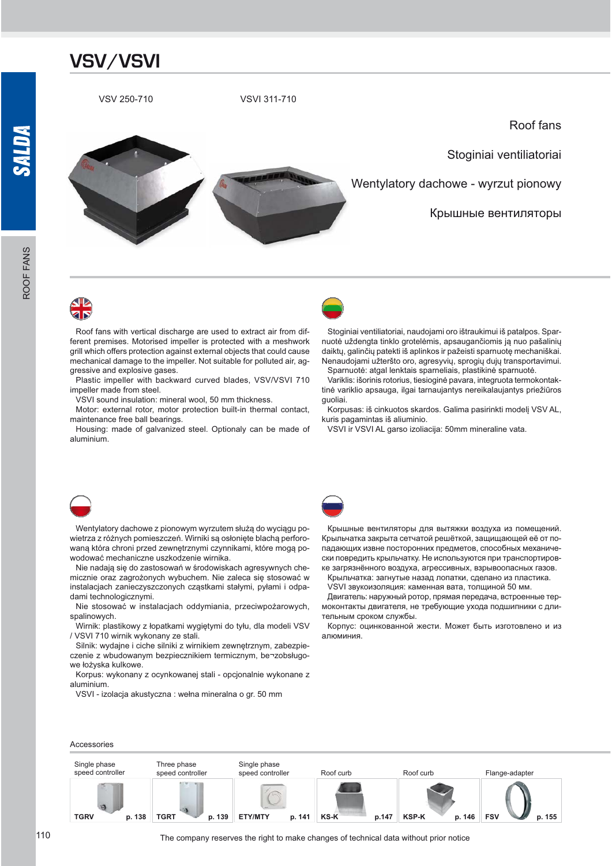

Roof fans with vertical discharge are used to extract air from different premises. Motorised impeller is protected with a meshwork grill which offers protection against external objects that could cause mechanical damage to the impeller. Not suitable for polluted air, aggressive and explosive gases.

Plastic impeller with backward curved blades, VSV/VSVI 710 impeller made from steel.

VSVI sound insulation: mineral wool, 50 mm thickness.

Motor: external rotor, motor protection built-in thermal contact, maintenance free ball bearings.

Housing: made of galvanized steel. Optionaly can be made of aluminium.



Stoginiai ventiliatoriai, naudojami oro ištraukimui iš patalpos. Spar nuotė uždengta tinklo grotelėmis, apsaugančiomis ją nuo pašalinių daiktų, galinčių patekti iš aplinkos ir pažeisti sparnuotę mechaniškai. Nenaudojami užteršto oro, agresyvių, sprogių dujų transportavimui. Sparnuotė: atgal lenktais sparneliais, plastikinė sparnuotė.

Variklis: išorinis rotorius, tiesioginė pavara, integruota termokontaktinė variklio apsauga, ilgai tarnaujantys nereikalaujantys priežiūros guoliai.

Korpusas: iš cinkuotos skardos. Galima pasirinkti modelį VSV AL, kuris pagamintas iš aliuminio.

VSVI ir VSVI AL garso izoliacija: 50mm mineraline vata.



Wentylatory dachowe z pionowym wyrzutem służa do wyciagu powietrza z różnych pomieszczeń. Wirniki są osłonięte blachą perforowaną która chroni przed zewnętrznymi czynnikami, które mogą powodować mechaniczne uszkodzenie wirnika.

Nie nadają się do zastosowań w środowiskach agresywnych chemicznie oraz zagrożonych wybuchem. Nie zaleca się stosować w instalacjach zanieczyszczonych cząstkami stałymi, pyłami i odpadami technologicznymi.

Nie stosować w instalaciach oddymiania, przeciwpożarowych, spalinowych.

Wirnik: plastikowy z łopatkami wygiętymi do tyłu, dla modeli VSV / VSVI 710 wirnik wykonany ze stali.

Silnik: wydajne i ciche silniki z wirnikiem zewnętrznym, zabezpieczenie z wbudowanym bezpiecznikiem termicznym, be-zobsługowe łożyska kulkowe.

Korpus: wykonany z ocynkowanej stali - opcjonalnie wykonane z aluminium.

VSVI - izolacja akustyczna : wełna mineralna o gr. 50 mm



Крышные вентиляторы для вытяжки воздуха из помещений. Крыльчатка закрыта сетчатой решёткой, защищающей её от попадающих извне посторонних предметов, способных механически повредить крыльчатку. Не используются при транспортировке загрязнённого воздуха, агрессивных, взрывоопасных газов.

Крыльчатка: загнутые назад лопатки, сделано из пластика.

VSVI звукоизоляция: каменная вата, толщиной 50 мм.

Двигатель: наружный ротор, прямая передача, встроенные термоконтакты двигателя, не требующие ухода подшипники с длительным сроком службы.

Корпус: оцинкованной жести. Может быть изготовлено и из алюминия.



Accessories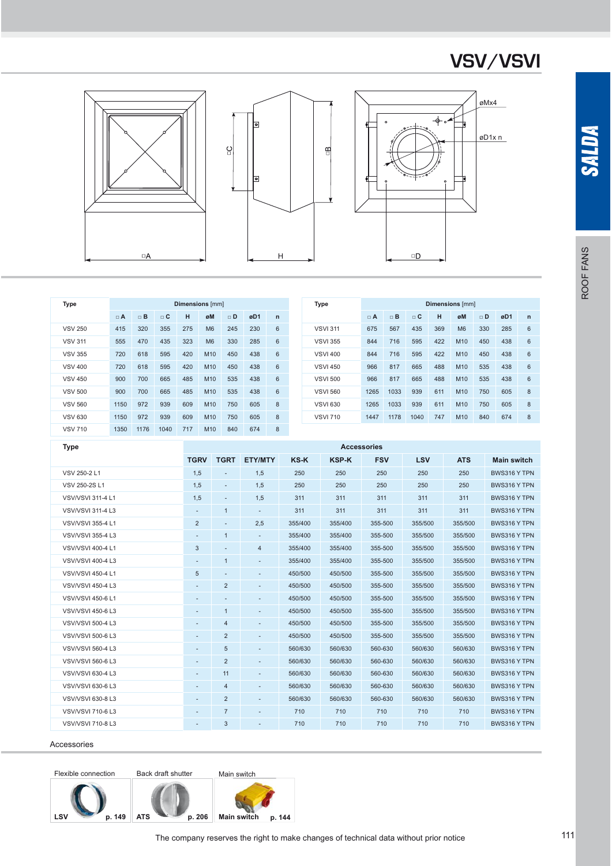





| Type           |          |          |          |     | <b>Dimensions</b> [mm] |          |     |              | Type            |          |          |          |     | <b>Dimensions</b> [mm] |          |     |            |
|----------------|----------|----------|----------|-----|------------------------|----------|-----|--------------|-----------------|----------|----------|----------|-----|------------------------|----------|-----|------------|
|                | $\Box$ A | $\Box$ B | $\Box$ C | н   | øM                     | $\Box$ D | øD1 | $\mathsf{n}$ |                 | $\Box$ A | $\Box$ B | $\Box$ C | н   | øM                     | $\Box$ D | øD1 | r          |
| <b>VSV 250</b> | 415      | 320      | 355      | 275 | M <sub>6</sub>         | 245      | 230 | 6            | <b>VSVI 311</b> | 675      | 567      | 435      | 369 | M <sub>6</sub>         | 330      | 285 | $\epsilon$ |
| <b>VSV 311</b> | 555      | 470      | 435      | 323 | M <sub>6</sub>         | 330      | 285 | 6            | <b>VSVI 355</b> | 844      | 716      | 595      | 422 | M10                    | 450      | 438 | $\epsilon$ |
| <b>VSV 355</b> | 720      | 618      | 595      | 420 | M10                    | 450      | 438 | 6            | <b>VSVI 400</b> | 844      | 716      | 595      | 422 | M10                    | 450      | 438 | $\epsilon$ |
| <b>VSV 400</b> | 720      | 618      | 595      | 420 | M10                    | 450      | 438 | 6            | <b>VSVI 450</b> | 966      | 817      | 665      | 488 | M10                    | 535      | 438 | $\epsilon$ |
| <b>VSV 450</b> | 900      | 700      | 665      | 485 | M10                    | 535      | 438 | 6            | <b>VSVI 500</b> | 966      | 817      | 665      | 488 | M10                    | 535      | 438 | $\epsilon$ |
| <b>VSV 500</b> | 900      | 700      | 665      | 485 | M10                    | 535      | 438 | 6            | <b>VSVI 560</b> | 1265     | 1033     | 939      | 611 | M10                    | 750      | 605 | ε          |
| <b>VSV 560</b> | 1150     | 972      | 939      | 609 | M10                    | 750      | 605 | 8            | <b>VSVI 630</b> | 1265     | 1033     | 939      | 611 | M10                    | 750      | 605 | ε          |
| <b>VSV 630</b> | 1150     | 972      | 939      | 609 | M10                    | 750      | 605 | 8            | <b>VSVI 710</b> | 1447     | 1178     | 1040     | 747 | M10                    | 840      | 674 | ε          |
| <b>VSV 710</b> | 1350     | 1176     | 1040     | 717 | M <sub>10</sub>        | 840      | 674 | 8            |                 |          |          |          |     |                        |          |     |            |

| Type                     |                          |                          |                              |             |              | <b>Accessories</b> |            |            |                    |
|--------------------------|--------------------------|--------------------------|------------------------------|-------------|--------------|--------------------|------------|------------|--------------------|
|                          | <b>TGRV</b>              | <b>TGRT</b>              | <b>ETY/MTY</b>               | <b>KS-K</b> | <b>KSP-K</b> | <b>FSV</b>         | <b>LSV</b> | <b>ATS</b> | <b>Main switch</b> |
| VSV 250-2 L1             | 1,5                      |                          | 1,5                          | 250         | 250          | 250                | 250        | 250        | BWS316 Y TPN       |
| VSV 250-2S L1            | 1,5                      | $\overline{\phantom{a}}$ | 1,5                          | 250         | 250          | 250                | 250        | 250        | BWS316 Y TPN       |
| <b>VSV/VSVI 311-4 L1</b> | 1,5                      | ٠                        | 1,5                          | 311         | 311          | 311                | 311        | 311        | BWS316 Y TPN       |
| <b>VSV/VSVI 311-4 L3</b> | $\overline{\phantom{a}}$ | $\mathbf{1}$             | ٠                            | 311         | 311          | 311                | 311        | 311        | BWS316 Y TPN       |
| <b>VSV/VSVI 355-4 L1</b> | $\overline{2}$           | $\overline{\phantom{a}}$ | 2,5                          | 355/400     | 355/400      | 355-500            | 355/500    | 355/500    | BWS316 Y TPN       |
| <b>VSV/VSVI 355-4 L3</b> | $\overline{\phantom{a}}$ | 1                        | ٠                            | 355/400     | 355/400      | 355-500            | 355/500    | 355/500    | BWS316 Y TPN       |
| <b>VSV/VSVI 400-4 L1</b> | 3                        | ٠                        | 4                            | 355/400     | 355/400      | 355-500            | 355/500    | 355/500    | BWS316 Y TPN       |
| <b>VSV/VSVI 400-4 L3</b> | ٠                        | 1                        | $\overline{\phantom{a}}$     | 355/400     | 355/400      | 355-500            | 355/500    | 355/500    | BWS316 Y TPN       |
| <b>VSV/VSVI 450-4 L1</b> | $\sqrt{5}$               | ٠                        | ٠                            | 450/500     | 450/500      | 355-500            | 355/500    | 355/500    | BWS316 Y TPN       |
| <b>VSV/VSVI 450-4 L3</b> | ٠                        | 2                        |                              | 450/500     | 450/500      | 355-500            | 355/500    | 355/500    | BWS316 Y TPN       |
| <b>VSV/VSVI 450-6 L1</b> | $\overline{\phantom{a}}$ | ٠                        | $\qquad \qquad \blacksquare$ | 450/500     | 450/500      | 355-500            | 355/500    | 355/500    | BWS316 Y TPN       |
| <b>VSV/VSVI 450-6 L3</b> | ٠                        | 1                        | ٠                            | 450/500     | 450/500      | 355-500            | 355/500    | 355/500    | BWS316 Y TPN       |
| <b>VSV/VSVI 500-4 L3</b> | $\overline{\phantom{a}}$ | $\overline{4}$           | ٠                            | 450/500     | 450/500      | 355-500            | 355/500    | 355/500    | BWS316 Y TPN       |
| <b>VSV/VSVI 500-6 L3</b> | ٠                        | $\overline{2}$           | ٠                            | 450/500     | 450/500      | 355-500            | 355/500    | 355/500    | BWS316 Y TPN       |
| <b>VSV/VSVI 560-4 L3</b> | $\overline{\phantom{a}}$ | $\sqrt{5}$               | $\overline{\phantom{m}}$     | 560/630     | 560/630      | 560-630            | 560/630    | 560/630    | BWS316 Y TPN       |
| <b>VSV/VSVI 560-6 L3</b> | $\overline{\phantom{a}}$ | $\overline{2}$           | $\overline{\phantom{a}}$     | 560/630     | 560/630      | 560-630            | 560/630    | 560/630    | BWS316 Y TPN       |
| <b>VSV/VSVI 630-4 L3</b> | $\overline{\phantom{a}}$ | 11                       | ٠                            | 560/630     | 560/630      | 560-630            | 560/630    | 560/630    | BWS316 Y TPN       |
| <b>VSV/VSVI 630-6 L3</b> | ٠                        | $\overline{4}$           | ٠                            | 560/630     | 560/630      | 560-630            | 560/630    | 560/630    | BWS316 Y TPN       |
| <b>VSV/VSVI 630-8 L3</b> | $\overline{\phantom{a}}$ | 2                        | ٠                            | 560/630     | 560/630      | 560-630            | 560/630    | 560/630    | BWS316 Y TPN       |
| <b>VSV/VSVI 710-6 L3</b> | $\overline{\phantom{a}}$ | $\overline{7}$           | ٠                            | 710         | 710          | 710                | 710        | 710        | BWS316 Y TPN       |
| <b>VSV/VSVI 710-8 L3</b> | ٠                        | 3                        | ٠                            | 710         | 710          | 710                | 710        | 710        | BWS316 Y TPN       |
|                          |                          |                          |                              |             |              |                    |            |            |                    |

#### Accessories

Flexible connection Back draft shutter





ROOF FANS

ROOF FANS

**SALDA**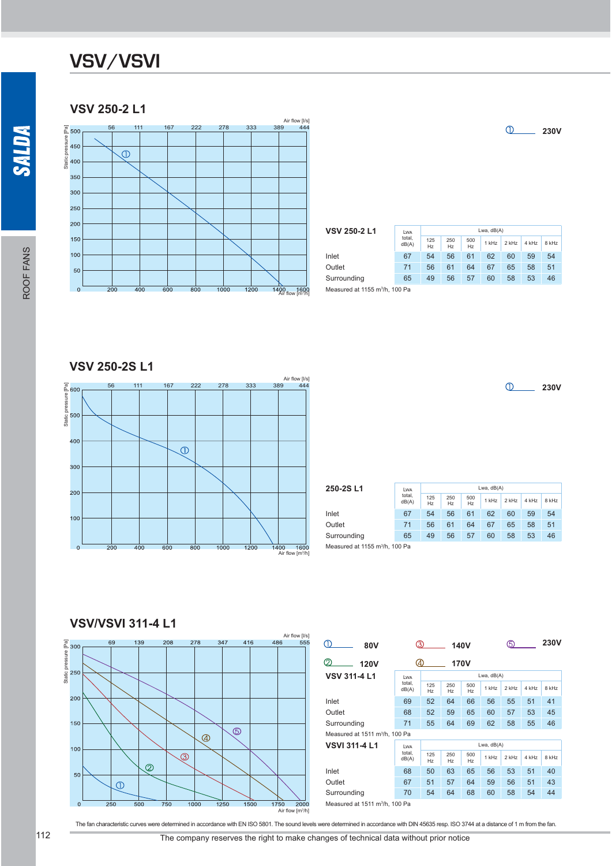#### **VSV 250-2 L1**



| <b>VSV 250-2 L1</b>                        | <b>LWA</b>      |                       |           |           | Lwa, $dB(A)$ |         |       |       |
|--------------------------------------------|-----------------|-----------------------|-----------|-----------|--------------|---------|-------|-------|
|                                            | total,<br>dB(A) | 125<br>H <sub>z</sub> | 250<br>HZ | 500<br>Hz | $1$ kHz      | $2$ kHz | 4 kHz | 8 kHz |
| Inlet                                      | 67              | 54                    | 56        | 61        | 62           | 60      | 59    | 54    |
| Outlet                                     | 71              | 56                    | 61        | 64        | 67           | 65      | 58    | 51    |
| Surrounding                                | 65              | 49                    | 56        | 57        | 60           | 58      | 53    | 46    |
| Measured at 1155 m <sup>3</sup> /h, 100 Pa |                 |                       |           |           |              |         |       |       |

**VSV 250-2S L1**



**250-2S L1** Lwa total, dB(A) Lwa, dB(A) 125 Hz 250 Hz 500 1 kHz 2 kHz 4 kHz 8 kHz Inlet 67 54 56 61 62 60 59 54 Outlet 71 56 61 64 67 65 58 51 Surrounding 65 49 56 57 60 58 53 46 Measured at 1155 m<sup>3</sup>/h, 100 Pa

**VSV/VSVI 311-4 L1**



The fan characteristic curves were determined in accordance with EN ISO 5801. The sound levels were determined in accordance with DIN 45635 resp. ISO 3744 at a distance of 1 m from the fan.

**230V**

**230V**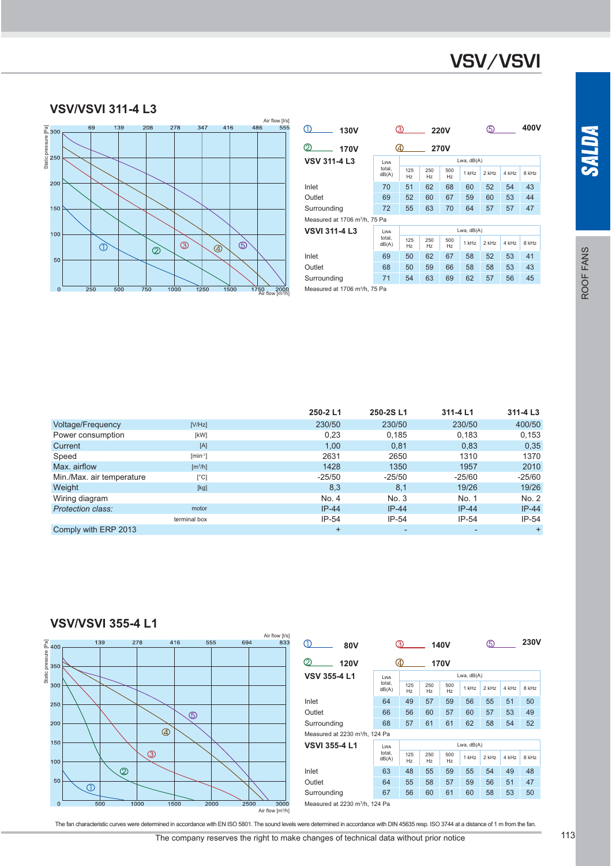#### **VSV/VSVI 311-4 L3**



| <b>130V</b>                               | 3<br><b>220V</b>                             |                                        |           |                       | 5            |         |       | 400V  |  |
|-------------------------------------------|----------------------------------------------|----------------------------------------|-----------|-----------------------|--------------|---------|-------|-------|--|
| 2<br>170V                                 | 40<br><b>270V</b>                            |                                        |           |                       |              |         |       |       |  |
| <b>VSV 311-4 L3</b>                       | Lwa, $dB(A)$<br>LWA                          |                                        |           |                       |              |         |       |       |  |
|                                           | total.<br>dB(A)                              | 125<br>H <sub>z</sub>                  | 250<br>Hz | 500<br>H <sub>z</sub> | 1 kHz        | $2$ kHz | 4 kHz | 8 kHz |  |
| Inlet                                     | 70                                           | 51                                     | 62        | 68                    | 60           | 52      | 54    | 43    |  |
| Outlet                                    | 69                                           | 52<br>60<br>67<br>59<br>60<br>53<br>44 |           |                       |              |         |       |       |  |
| Surrounding                               | 63<br>70<br>72<br>55<br>64<br>57<br>57<br>47 |                                        |           |                       |              |         |       |       |  |
| Measured at 1706 m <sup>3</sup> /h, 75 Pa |                                              |                                        |           |                       |              |         |       |       |  |
| <b>VSVI 311-4 L3</b>                      | <b>LWA</b>                                   |                                        |           |                       | Lwa, $dB(A)$ |         |       |       |  |
|                                           | total.<br>dB(A)                              | 125<br>Hz                              | 250<br>Hz | 500<br>Hz             | 1 kHz        | $2$ kHz | 4 kHz | 8 kHz |  |
| Inlet                                     | 69                                           | 50                                     | 62        | 67                    | 58           | 52      | 53    | 41    |  |
| Outlet                                    | 68                                           | 50                                     | 59        | 66                    | 58           | 58      | 53    | 43    |  |
| Surrounding                               | 63<br>71<br>69<br>62<br>54<br>57<br>56<br>45 |                                        |           |                       |              |         |       |       |  |
| Measured at 1706 m <sup>3</sup> /h, 75 Pa |                                              |                                        |           |                       |              |         |       |       |  |

|                           |                              | 250-2L1   | 250-2SL1 | 311-4 L1 | 311-4 L3 |
|---------------------------|------------------------------|-----------|----------|----------|----------|
| <b>Voltage/Frequency</b>  | [V/Hz]                       | 230/50    | 230/50   | 230/50   | 400/50   |
| Power consumption         | [kW]                         | 0,23      | 0.185    | 0,183    | 0,153    |
| Current                   | [A]                          | 1.00      | 0,81     | 0,83     | 0,35     |
| Speed                     | $[min^{-1}]$                 | 2631      | 2650     | 1310     | 1370     |
| Max. airflow              | $\left[\frac{m^3}{h}\right]$ | 1428      | 1350     | 1957     | 2010     |
| Min./Max. air temperature | $\lceil$ °Cl                 | $-25/50$  | $-25/50$ | $-25/60$ | $-25/60$ |
| Weight                    | [kg]                         | 8,3       | 8,1      | 19/26    | 19/26    |
| Wiring diagram            |                              | No. 4     | No. 3    | No. 1    | No. 2    |
| Protection class:         | motor                        | $IP-44$   | $IP-44$  | $IP-44$  | $IP-44$  |
|                           | terminal box                 | $IP-54$   | $IP-54$  | $IP-54$  | $IP-54$  |
| Comply with ERP 2013      |                              | $\ddot{}$ |          |          | $+$      |





The fan characteristic curves were determined in accordance with EN ISO 5801. The sound levels were determined in accordance with DIN 45635 resp. ISO 3744 at a distance of 1 m from the fan.

The company reserves the right to make changes of technical data without prior notice 113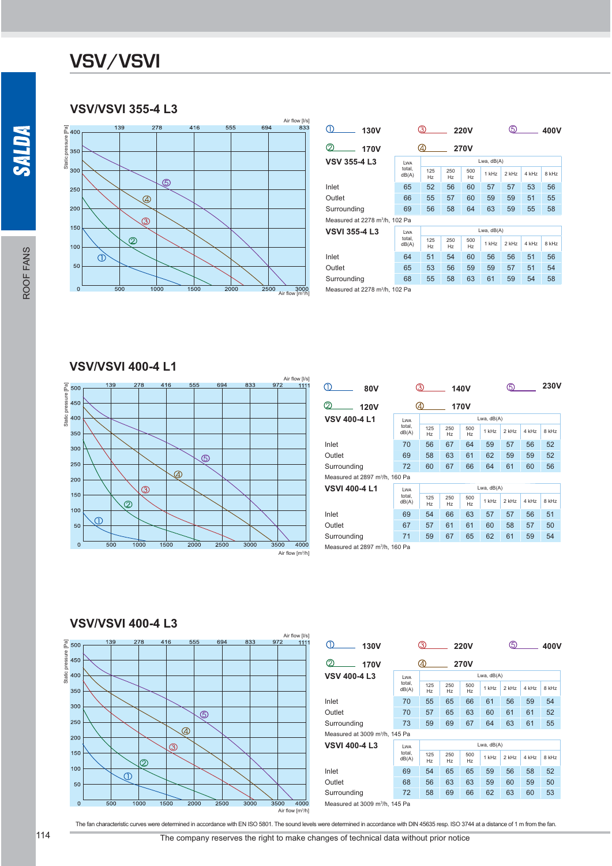### **VSV/VSVI 355-4 L3**



| 130V                                       |                 | 3)         |           | <b>220V</b>           |            | 5)      |       | 400V  |  |
|--------------------------------------------|-----------------|------------|-----------|-----------------------|------------|---------|-------|-------|--|
| $\mathfrak{D}$<br>170V                     |                 | 4          |           | <b>270V</b>           |            |         |       |       |  |
| <b>VSV 355-4 L3</b>                        | <b>LWA</b>      | Lwa, dB(A) |           |                       |            |         |       |       |  |
|                                            | total.<br>dB(A) | 125<br>Hz  | 250<br>Hz | 500<br>H <sub>z</sub> | 1 kHz      | $2$ kHz | 4 kHz | 8 kHz |  |
| Inlet                                      | 65              | 52         | 56        | 60                    | 57         | 57      | 53    | 56    |  |
| Outlet                                     | 66              | 55         | 57        | 60                    | 59         | 59      | 51    | 55    |  |
| Surrounding                                | 69              | 56         | 58        | 64                    | 63         | 59      | 55    | 58    |  |
| Measured at 2278 m <sup>3</sup> /h, 102 Pa |                 |            |           |                       |            |         |       |       |  |
| <b>VSVI 355-4 L3</b>                       | <b>LWA</b>      |            |           |                       | Lwa, dB(A) |         |       |       |  |
|                                            | total.<br>dB(A) | 125<br>Hz  | 250<br>Hz | 500<br>H <sub>z</sub> | 1 kHz      | 2 kHz   | 4 kHz | 8 kHz |  |
| Inlet                                      | 64              | 51         | 54        | 60                    | 56         | 56      | 51    | 56    |  |
| Outlet                                     | 65              | 53         | 56        | 59                    | 59         | 57      | 51    | 54    |  |
| Surrounding                                | 68              | 55         | 58        | 63                    | 61         | 59      | 54    | 58    |  |
| Measured at 2278 m <sup>3</sup> /h, 102 Pa |                 |            |           |                       |            |         |       |       |  |

#### **VSV/VSVI 400-4 L1**



| 80V                                        |                 | 3)<br><b>140V</b>     |           |                       |            |       | 5)    |       |
|--------------------------------------------|-----------------|-----------------------|-----------|-----------------------|------------|-------|-------|-------|
| 2<br><b>120V</b>                           |                 | 4<br><b>170V</b>      |           |                       |            |       |       |       |
| <b>VSV 400-4 L1</b>                        | <b>LWA</b>      | Lwa, dB(A)            |           |                       |            |       |       |       |
|                                            | total.<br>dB(A) | 125<br>H <sub>z</sub> | 250<br>Hz | 500<br>H <sub>z</sub> | 1 kHz      | 2 kHz | 4 kHz | 8 kHz |
| Inlet                                      | 70              | 56                    | 67        | 64                    | 59         | 57    | 56    | 52    |
| Outlet                                     | 69              | 58                    | 63        | 61                    | 62         | 59    | 59    | 52    |
| Surrounding                                | 72              | 60                    | 67        | 66                    | 64         | 61    | 60    | 56    |
| Measured at 2897 m <sup>3</sup> /h, 160 Pa |                 |                       |           |                       |            |       |       |       |
| <b>VSVI 400-4 L1</b>                       | <b>LWA</b>      |                       |           |                       | Lwa, dB(A) |       |       |       |
|                                            | total.<br>dB(A) | 125<br>H <sub>z</sub> | 250<br>Hz | 500<br>H <sub>z</sub> | 1 kHz      | 2 kHz | 4 kHz | 8 kHz |
| Inlet                                      | 69              | 54                    | 66        | 63                    | 57         | 57    | 56    | 51    |
| Outlet                                     | 67              | 57                    | 61        | 61                    | 60         | 58    | 57    | 50    |
| Surrounding                                | 59              | 67                    | 65        | 62                    | 61         | 59    | 54    |       |
| Measured at 2897 m <sup>3</sup> /h, 160 Pa |                 |                       |           |                       |            |       |       |       |

#### **VSV/VSVI 400-4 L3**



| O)<br><b>130V</b>                          |                                        | (3)       | <b>220V</b> |             |            | (5)   |       | 400V  |
|--------------------------------------------|----------------------------------------|-----------|-------------|-------------|------------|-------|-------|-------|
| 2<br><b>170V</b>                           |                                        | 4)        |             | <b>270V</b> |            |       |       |       |
| <b>VSV 400-4 L3</b>                        | Lwa                                    |           |             |             | Lwa, dB(A) |       |       |       |
|                                            | total.<br>dB(A)                        | 125<br>Hz | 250<br>Hz   | 500<br>Hz   | 1 kHz      | 2 kHz | 4 kHz | 8 kHz |
| Inlet                                      | 70                                     | 55        | 65          | 66          | 61         | 56    | 59    | 54    |
| Outlet                                     | 65<br>63<br>60<br>61<br>57<br>61<br>70 |           |             |             |            |       |       |       |
| Surrounding                                | 73                                     | 59        | 69          | 67          | 64         | 63    | 61    | 55    |
| Measured at 3009 m <sup>3</sup> /h, 145 Pa |                                        |           |             |             |            |       |       |       |
| <b>VSVI 400-4 L3</b>                       | Lwa                                    |           |             |             | Lwa, dB(A) |       |       |       |
|                                            | total,<br>dB(A)                        | 125<br>Hz | 250<br>Hz   | 500<br>Hz   | 1 kHz      | 2 kHz | 4 kHz | 8 kHz |
| Inlet                                      | 69                                     | 54        | 65          | 65          | 59         | 56    | 58    | 52    |
| Outlet                                     | 68                                     | 56        | 63          | 63          | 59         | 60    | 59    | 50    |
| Surrounding                                | 72                                     | 58        | 69          | 66          | 62         | 63    | 60    | 53    |
| Measured at 3009 m <sup>3</sup> /h, 145 Pa |                                        |           |             |             |            |       |       |       |

The fan characteristic curves were determined in accordance with EN ISO 5801. The sound levels were determined in accordance with DIN 45635 resp. ISO 3744 at a distance of 1 m from the fan.

**SALDA**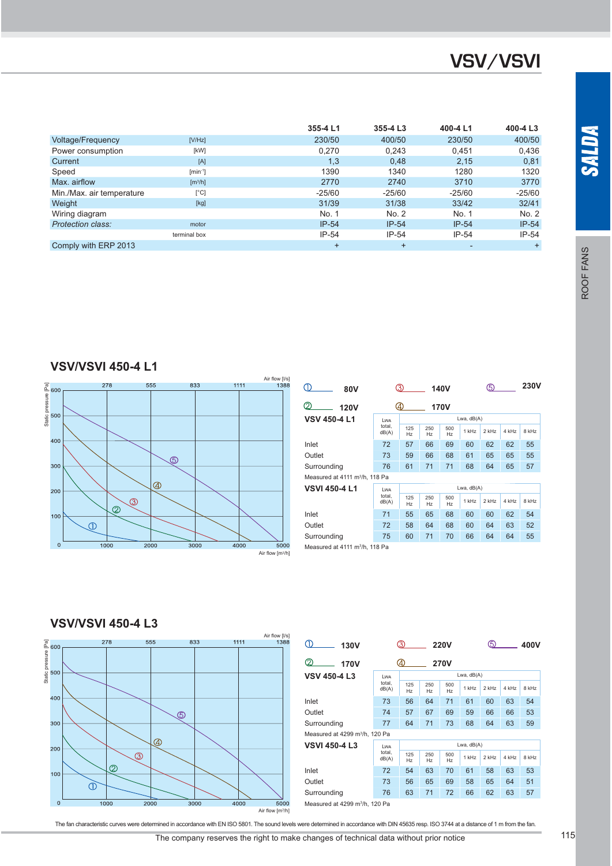|                           |                              | 355-4 L1  | 355-4 L3  | 400-4 L1       | 400-4 L3 |
|---------------------------|------------------------------|-----------|-----------|----------------|----------|
| <b>Voltage/Frequency</b>  | [V/Hz]                       | 230/50    | 400/50    | 230/50         | 400/50   |
| Power consumption         | [kW]                         | 0.270     | 0.243     | 0.451          | 0,436    |
| Current                   | [A]                          | 1,3       | 0.48      | 2.15           | 0,81     |
| Speed                     | $[min^{-1}]$                 | 1390      | 1340      | 1280           | 1320     |
| Max. airflow              | $\left[\frac{m^3}{h}\right]$ | 2770      | 2740      | 3710           | 3770     |
| Min./Max. air temperature | $\lceil$ °C]                 | $-25/60$  | $-25/60$  | $-25/60$       | $-25/60$ |
| Weight                    | [kg]                         | 31/39     | 31/38     | 33/42          | 32/41    |
| Wiring diagram            |                              | No. 1     | No. 2     | No. 1          | No. 2    |
| <b>Protection class:</b>  | motor                        | $IP-54$   | $IP-54$   | $IP-54$        | $IP-54$  |
|                           | terminal box                 | $IP-54$   | $IP-54$   | $IP-54$        | $IP-54$  |
| Comply with ERP 2013      |                              | $\ddot{}$ | $\ddot{}$ | $\overline{a}$ | $+$      |

**VSV/VSVI 450-4 L1**



| <b>80V</b>                                 |                 | 3)                    |           | <b>140V</b>           |              | 5       |       | <b>230V</b> |  |
|--------------------------------------------|-----------------|-----------------------|-----------|-----------------------|--------------|---------|-------|-------------|--|
| ⊘<br><b>120V</b>                           |                 | ④<br>170V             |           |                       |              |         |       |             |  |
| <b>VSV 450-4 L1</b>                        | <b>LWA</b>      |                       |           |                       | Lwa, $dB(A)$ |         |       |             |  |
|                                            | total.<br>dB(A) | 125<br>H <sub>z</sub> | 250<br>Hz | 500<br>H <sub>z</sub> | 1 kHz        | $2$ kHz | 4 kHz | 8 kHz       |  |
| Inlet                                      | 72              | 57                    | 66        | 69                    | 60           | 62      | 62    | 55          |  |
| Outlet                                     | 73              | 59                    | 66        | 68                    | 61           | 65      | 65    | 55          |  |
| Surrounding                                | 76              | 61                    | 71        | 71                    | 68           | 64      | 65    | 57          |  |
| Measured at 4111 m <sup>3</sup> /h, 118 Pa |                 |                       |           |                       |              |         |       |             |  |
| <b>VSVI 450-4 L1</b>                       | <b>LWA</b>      |                       |           |                       | Lwa, $dB(A)$ |         |       |             |  |
|                                            | total.<br>dB(A) | 125<br>Hz             | 250<br>Hz | 500<br>H <sub>z</sub> | $1$ kHz      | 2 kHz   | 4 kHz | 8 kHz       |  |
| Inlet                                      | 71              | 55                    | 65        | 68                    | 60           | 60      | 62    | 54          |  |
| Outlet                                     | 72              | 58                    | 64        | 68                    | 60           | 64      | 63    | 52          |  |
| Surrounding                                | 75              | 60                    | 71        | 70                    | 66           | 64      | 64    | 55          |  |
| Measured at 4111 m <sup>3</sup> /h, 118 Pa |                 |                       |           |                       |              |         |       |             |  |

#### **VSV/VSVI 450-4 L3**



| O)<br>130V                                 |                 | (3)       |           | <b>220V</b>           | .5)          |       | 400V  |       |
|--------------------------------------------|-----------------|-----------|-----------|-----------------------|--------------|-------|-------|-------|
| 2<br><b>170V</b>                           |                 | 40        |           | <b>270V</b>           |              |       |       |       |
| <b>VSV 450-4 L3</b>                        | <b>LWA</b>      |           |           |                       | Lwa, $dB(A)$ |       |       |       |
|                                            | total.<br>dB(A) | 125<br>Hz | 250<br>Hz | 500<br>Hz             | 1 kHz        | 2 kHz | 4 kHz | 8 kHz |
| Inlet                                      | 73              | 56        | 64        | 71                    | 61           | 60    | 63    | 54    |
| Outlet                                     | 74              | 57        | 67        | 69                    | 59           | 66    | 66    | 53    |
| Surrounding                                | 77              | 64        | 71        | 73                    | 68           | 64    | 63    | 59    |
| Measured at 4299 m <sup>3</sup> /h, 120 Pa |                 |           |           |                       |              |       |       |       |
| <b>VSVI 450-4 L3</b>                       | <b>LWA</b>      |           |           |                       | Lwa, dB(A)   |       |       |       |
|                                            | total,<br>dB(A) | 125<br>Hz | 250<br>Hz | 500<br>H <sub>z</sub> | $1$ kHz      | 2 kHz | 4 kHz | 8 kHz |
| Inlet                                      | 72              | 54        | 63        | 70                    | 61           | 58    | 63    | 53    |
| Outlet                                     | 73              | 56        | 65        | 69                    | 58           | 65    | 64    | 51    |
| Surrounding                                | 76              | 63        | 71        | 72                    | 66           | 62    | 63    | 57    |
| Measured at 4299 m <sup>3</sup> /h, 120 Pa |                 |           |           |                       |              |       |       |       |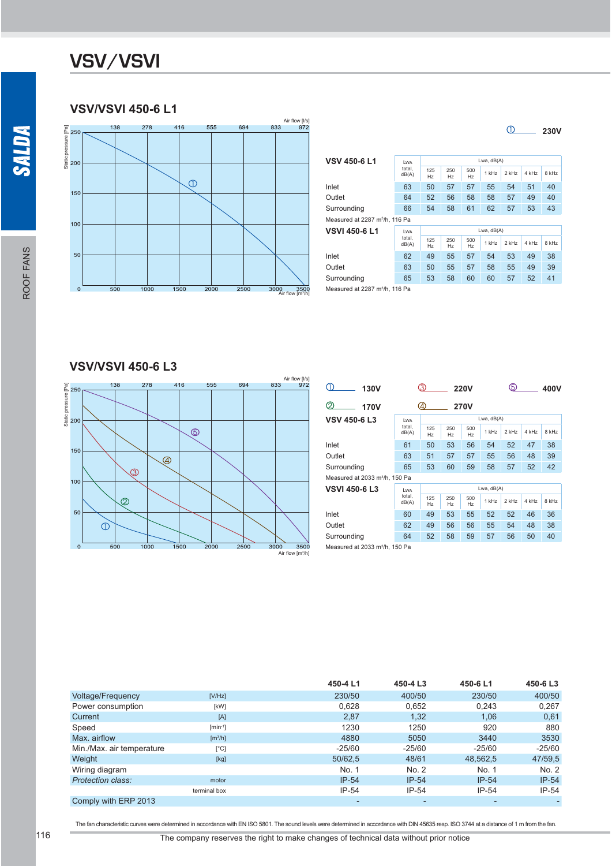### **VSV/VSVI 450-6 L1**



| <b>VSV 450-6 L1</b>                        | LWA             | Lwa, $dB(A)$ |           |              |         |         |       |       |  |  |  |
|--------------------------------------------|-----------------|--------------|-----------|--------------|---------|---------|-------|-------|--|--|--|
|                                            | total.<br>dB(A) | 125<br>Hz    | 250<br>Hz | 500<br>Hz    | $1$ kHz | $2$ kHz | 4 kHz | 8 kHz |  |  |  |
| Inlet                                      | 63              | 50           | 57        | 57           | 55      | 54      | 51    | 40    |  |  |  |
| Outlet                                     | 64              | 52           | 56        | 58           | 58      | 57      | 49    | 40    |  |  |  |
| Surrounding                                | 66              | 54           | 58        | 61           | 62      | 57      | 53    | 43    |  |  |  |
| Measured at 2287 m <sup>3</sup> /h, 116 Pa |                 |              |           |              |         |         |       |       |  |  |  |
| VSVI 450-6 L1                              | LWA             |              |           | Lwa, $dB(A)$ |         |         |       |       |  |  |  |
|                                            | total.<br>dB(A) | 125<br>Hz    | 250<br>Hz | 500<br>Hz    | $1$ kHz | $2$ kHz | 4 kHz | 8 kHz |  |  |  |
| Inlet                                      | 62              | 49           | 55        | 57           | 54      | 53      | 49    | 38    |  |  |  |
| Outlet                                     | 63              | 50           | 55        | 57           | 58      | 55      | 49    | 39    |  |  |  |
| Surrounding                                | 65              | 53           | 58        | 60           | 60      | 57      | 52    | 41    |  |  |  |
|                                            |                 |              |           |              |         |         |       |       |  |  |  |

**230V**

Measured at 2287 m<sup>3</sup>/h, 116 Pa

#### **VSV/VSVI 450-6 L3**



| <b>130V</b>                                |                 | 3)                    |                       | <b>220V</b>           | 5          |         |       | 400V  |
|--------------------------------------------|-----------------|-----------------------|-----------------------|-----------------------|------------|---------|-------|-------|
| 2<br>170V                                  |                 | 4<br><b>270V</b>      |                       |                       |            |         |       |       |
| VSV 450-6 L3                               | <b>LWA</b>      |                       |                       |                       | Lwa, dB(A) |         |       |       |
|                                            | total.<br>dB(A) | 125<br>Hz             | 250<br>Hz             | 500<br>H <sub>z</sub> | $1$ kHz    | $2$ kHz | 4 kHz | 8 kHz |
| Inlet                                      | 61              | 50                    | 53                    | 56                    | 54         | 52      | 47    | 38    |
| Outlet                                     | 63              | 51                    | 57                    | 57                    | 55         | 56      | 48    | 39    |
| Surrounding                                | 65              | 53                    | 60                    | 59                    | 58         | 57      | 52    | 42    |
| Measured at 2033 m <sup>3</sup> /h. 150 Pa |                 |                       |                       |                       |            |         |       |       |
| VSVI 450-6 L3                              | LWA             | Lwa, $dB(A)$          |                       |                       |            |         |       |       |
|                                            | total.<br>dB(A) | 125<br>H <sub>z</sub> | 250<br>H <sub>z</sub> | 500<br>H <sub>z</sub> | $1$ kH $z$ | $2$ kHz | 4 kHz | 8 kHz |
| Inlet                                      | 60              | 49                    | 53                    | 55                    | 52         | 52      | 46    | 36    |
| Outlet                                     | 62              | 49                    | 56                    | 56                    | 55         | 54      | 48    | 38    |
| Surrounding                                | 64              | 52                    | 58                    | 59                    | 57         | 56      | 50    | 40    |
| Measured at 2033 m <sup>3</sup> /h. 150 Pa |                 |                       |                       |                       |            |         |       |       |

|                           |                              | 450-4 L1 | 450-4 L3                 | 450-6 L1 | 450-6L3  |
|---------------------------|------------------------------|----------|--------------------------|----------|----------|
| <b>Voltage/Frequency</b>  | [V/Hz]                       | 230/50   | 400/50                   | 230/50   | 400/50   |
| Power consumption         | [kW]                         | 0,628    | 0,652                    | 0,243    | 0,267    |
| Current                   | [A]                          | 2,87     | 1,32                     | 1,06     | 0,61     |
| Speed                     | $[min^{-1}]$                 | 1230     | 1250                     | 920      | 880      |
| Max. airflow              | $\left[\frac{m^3}{h}\right]$ | 4880     | 5050                     | 3440     | 3530     |
| Min./Max. air temperature | [°C]                         | $-25/60$ | $-25/60$                 | $-25/60$ | $-25/60$ |
| Weight                    | [kg]                         | 50/62,5  | 48/61                    | 48,562,5 | 47/59,5  |
| Wiring diagram            |                              | No. 1    | No. 2                    | No. 1    | No. 2    |
| <b>Protection class:</b>  | motor                        | $IP-54$  | $IP-54$                  | $IP-54$  | $IP-54$  |
|                           | terminal box                 | $IP-54$  | $IP-54$                  | $IP-54$  | $IP-54$  |
| Comply with ERP 2013      |                              |          | $\overline{\phantom{0}}$ |          |          |

The fan characteristic curves were determined in accordance with EN ISO 5801. The sound levels were determined in accordance with DIN 45635 resp. ISO 3744 at a distance of 1 m from the fan.

SALDA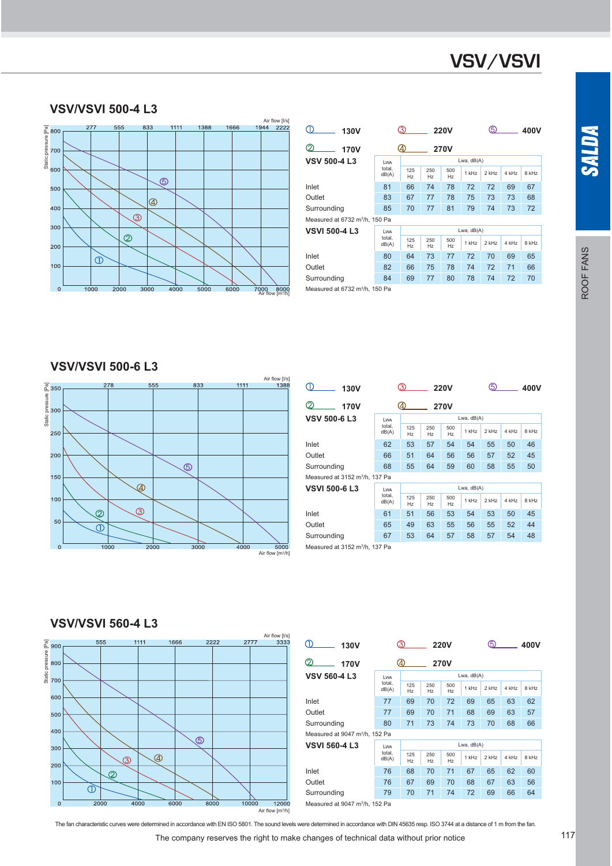#### **VSV/VSVI 500-4 L3**



| <b>130V</b>                                                                                                     |                 | .3)                |           | <b>220V</b> |         | டு         |       | 400V  |  |  |  |  |  |
|-----------------------------------------------------------------------------------------------------------------|-----------------|--------------------|-----------|-------------|---------|------------|-------|-------|--|--|--|--|--|
| $\mathfrak{D}% _{T}=\mathfrak{D}_{T}\!\left( a,b\right) ,\ \mathfrak{D}_{T}=C_{T}\!\left( a,b\right) ,$<br>170V |                 | (4)<br><b>270V</b> |           |             |         |            |       |       |  |  |  |  |  |
| <b>VSV 500-4 L3</b>                                                                                             | <b>LWA</b>      |                    |           |             |         | Lwa, dB(A) |       |       |  |  |  |  |  |
|                                                                                                                 | total.<br>dB(A) | 125<br>Hz          | 250<br>Hz | 500<br>Hz   | $1$ kHz | 2 kHz      | 4 kHz | 8 kHz |  |  |  |  |  |
| Inlet                                                                                                           | 81              | 66                 | 74        | 78          | 72      | 72         | 69    | 67    |  |  |  |  |  |
| Outlet                                                                                                          | 83              | 67                 | 77        | 78          | 75      | 73         | 73    | 68    |  |  |  |  |  |
| Surrounding                                                                                                     | 85              | 70                 | 77        | 81          | 79      | 74         | 73    | 72    |  |  |  |  |  |
| Measured at 6732 m <sup>3</sup> /h, 150 Pa                                                                      |                 |                    |           |             |         |            |       |       |  |  |  |  |  |
| <b>VSVI 500-4 L3</b>                                                                                            | LWA             | Lwa, dB(A)         |           |             |         |            |       |       |  |  |  |  |  |
|                                                                                                                 | total.<br>dB(A) | 125<br>Hz          | 250<br>Hz | 500<br>Hz   | $1$ kHz | $2$ kHz    | 4 kHz | 8 kHz |  |  |  |  |  |
| Inlet                                                                                                           | 80              | 64                 | 73        | 77          | 72      | 70         | 69    | 65    |  |  |  |  |  |
| Outlet                                                                                                          | 82              | 66                 | 75        | 78          | 74      | 72         | 71    | 66    |  |  |  |  |  |
| Surrounding                                                                                                     | 84              | 69                 | 77        | 80          | 78      | 74         | 72    | 70    |  |  |  |  |  |
| Measured at 6732 m <sup>3</sup> /h, 150 Pa                                                                      |                 |                    |           |             |         |            |       |       |  |  |  |  |  |

**VSV/VSVI 500-6 L3**



| <b>130V</b>                                |                 | 3           |           | <b>220V</b>           |         | 5            |       | 400V  |
|--------------------------------------------|-----------------|-------------|-----------|-----------------------|---------|--------------|-------|-------|
| 2<br>170V                                  |                 | (4)<br>270V |           |                       |         |              |       |       |
| <b>VSV 500-6 L3</b>                        | <b>LWA</b>      |             |           |                       |         | Lwa, $dB(A)$ |       |       |
|                                            | total.<br>dB(A) | 125<br>Hz   | 250<br>Hz | 500<br>Hz             | $1$ kHz | $2$ kHz      | 4 kHz | 8 kHz |
| Inlet                                      | 62              | 53          | 57        | 54                    | 54      | 55           | 50    | 46    |
| Outlet                                     | 66              | 51          | 64        | 56                    | 56      | 57           | 52    | 45    |
| Surrounding                                | 68              | 55          | 64        | 59                    | 60      | 58           | 55    | 50    |
| Measured at 3152 m <sup>3</sup> /h, 137 Pa |                 |             |           |                       |         |              |       |       |
| <b>VSVI 500-6 L3</b>                       | <b>LWA</b>      | Lwa, dB(A)  |           |                       |         |              |       |       |
|                                            | total.<br>dB(A) | 125<br>Hz   | 250<br>Hz | 500<br>H <sub>z</sub> | 1 kHz   | $2$ kHz      | 4 kHz | 8 kHz |
| Inlet                                      | 61              | 51          | 56        | 53                    | 54      | 53           | 50    | 45    |
| Outlet                                     | 65              | 49          | 63        | 55                    | 56      | 55           | 52    | 44    |
| Surrounding                                | 67              | 53          | 64        | 57                    | 58      | 57           | 54    | 48    |
| Measured at 3152 m <sup>3</sup> /h, 137 Pa |                 |             |           |                       |         |              |       |       |

#### **VSV/VSVI 560-4 L3**



| ⋒<br>130V                                  |                            | 3)                 |           | <b>220V</b> |         | ග       |       | 400V  |
|--------------------------------------------|----------------------------|--------------------|-----------|-------------|---------|---------|-------|-------|
| ⊘<br>170V                                  |                            | (4)<br><b>270V</b> |           |             |         |         |       |       |
| <b>VSV 560-4 L3</b>                        | Lwa, $dB(A)$<br><b>LWA</b> |                    |           |             |         |         |       |       |
|                                            | total.<br>dB(A)            | 125<br>Hz          | 250<br>Hz | 500<br>Hz   | $1$ kHz | 2 kHz   | 4 kHz | 8 kHz |
| Inlet                                      | 77                         | 69                 | 70        | 72          | 69      | 65      | 63    | 62    |
| Outlet                                     | 77                         | 69                 | 70        | 71          | 68      | 69      | 63    | 57    |
| Surrounding                                | 80                         | 71                 | 73        | 74          | 73      | 70      | 68    | 66    |
| Measured at 9047 m <sup>3</sup> /h, 152 Pa |                            |                    |           |             |         |         |       |       |
| <b>VSVI 560-4 L3</b>                       | <b>LWA</b>                 | Lwa, dB(A)         |           |             |         |         |       |       |
|                                            | total.<br>dB(A)            | 125<br>Hz          | 250<br>Hz | 500<br>Hz   | $1$ kHz | $2$ kHz | 4 kHz | 8 kHz |
| Inlet                                      | 76                         | 68                 | 70        | 71          | 67      | 65      | 62    | 60    |
| Outlet                                     | 76                         | 67                 | 69        | 70          | 68      | 67      | 63    | 56    |
| Surrounding                                | 79                         | 70                 | 71        | 74          | 72      | 69      | 66    | 64    |
| Measured at 9047 m <sup>3</sup> /h, 152 Pa |                            |                    |           |             |         |         |       |       |

The company reserves the right to make changes of technical data without prior notice 117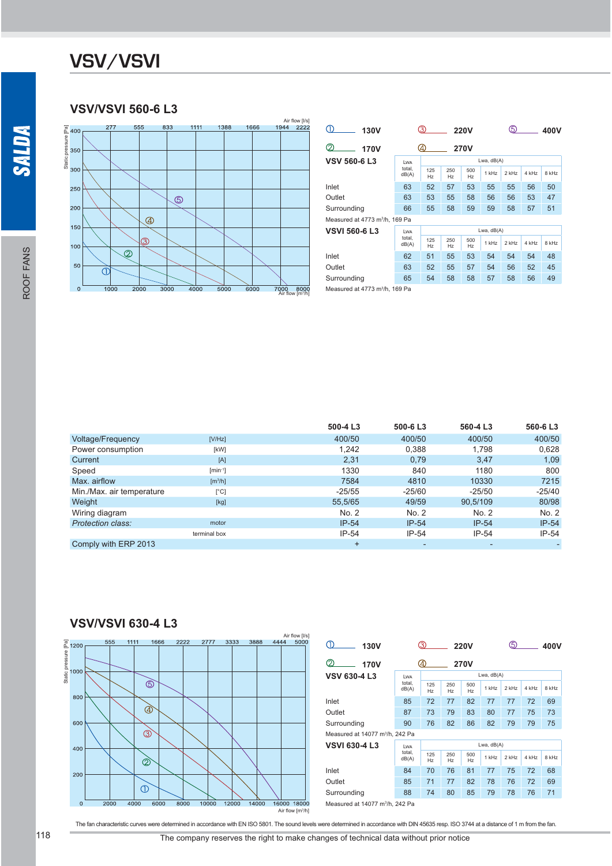#### **VSV/VSVI 560-6 L3**



| <b>130V</b>                                |                 | 3)               | <b>220V</b> | 5.        |         | 400V    |       |       |  |  |  |
|--------------------------------------------|-----------------|------------------|-------------|-----------|---------|---------|-------|-------|--|--|--|
| ⊘<br>170V                                  |                 | 4<br><b>270V</b> |             |           |         |         |       |       |  |  |  |
| <b>VSV 560-6 L3</b>                        | LWA             |                  | Lwa, dB(A)  |           |         |         |       |       |  |  |  |
|                                            | total.<br>dB(A) | 125<br>Hz        | 250<br>Hz   | 500<br>Hz | $1$ kHz | $2$ kHz | 4 kHz | 8 kHz |  |  |  |
| Inlet                                      | 63              | 52               | 57          | 53        | 55      | 55      | 56    | 50    |  |  |  |
| Outlet                                     | 63              | 53               | 55          | 58        | 56      | 56      | 53    | 47    |  |  |  |
| Surrounding                                | 66              | 55               | 58          | 59        | 59      | 58      | 57    | 51    |  |  |  |
| Measured at 4773 m <sup>3</sup> /h, 169 Pa |                 |                  |             |           |         |         |       |       |  |  |  |
| <b>VSVI 560-6 L3</b>                       | LWA             | Lwa, dB(A)       |             |           |         |         |       |       |  |  |  |
|                                            | total.<br>dB(A) | 125<br>Hz        | 250<br>Hz   | 500<br>Hz | 1 kHz   | $2$ kHz | 4 kHz | 8 kHz |  |  |  |
| Inlet                                      | 62              | 51               | 55          | 53        | 54      | 54      | 54    | 48    |  |  |  |
| Outlet                                     | 63              | 52               | 55          | 57        | 54      | 56      | 52    | 45    |  |  |  |
| Surrounding                                | 65              | 54               | 58          | 58        | 57      | 58      | 56    | 49    |  |  |  |
| Measured at 4773 m <sup>3</sup> /h, 169 Pa |                 |                  |             |           |         |         |       |       |  |  |  |

 **500-4 L3 500-6 L3 560-4 L3 560-6 L3** Voltage/Frequency 1990/50 [V/Hz] 1990/50 400/50 400/50 400/50 400/50 400/50 400/50 Power consumption  $x = \begin{bmatrix} kW & kW & kW & kW \end{bmatrix}$  1,242 0,388 1,798 0,628<br>
Current 1,09 0,79 3,47 1,09  $C$ urrent  $[A]$   $[A]$   $2,31$   $0,79$   $3,47$   $1,09$ Speed [min-1] 1330 840 1180 800 Max. airflow  $[m^3/h]$ <br>Min /Max. air temperature  $[°C]$ /h]  $7215$   $7384$   $4810$   $10330$   $7215$ Min./Max. air temperature [°C] -25/55 -25/60 -25/50 -25/40 Weight [kg] 55,5/65 49/59 90,5/109 80/98 Miring diagram No. 2 No. 2 No. 2 No. 2 No. 2 No. 2 No. 2 No. 2 No. 2 No. 2 No. 2 No. 2 No. 2 No. 2 No. 2 No. 2 **Protection class:** terminal box IP-54 IP-54 IP-54 IP-54 Comply with ERP 2013 + - - -

#### **VSV/VSVI 630-4 L3**



| <b>130V</b>                                 |                 | 3            |                       | <b>220V</b>           | 3     |       |       | 400V  |  |  |  |  |
|---------------------------------------------|-----------------|--------------|-----------------------|-----------------------|-------|-------|-------|-------|--|--|--|--|
| 2<br>170V                                   |                 | 4)           |                       | <b>270V</b>           |       |       |       |       |  |  |  |  |
| <b>VSV 630-4 L3</b>                         | LWA             |              | Lwa, $dB(A)$          |                       |       |       |       |       |  |  |  |  |
|                                             | total,<br>dB(A) | 125<br>Hz    | 250<br>H <sub>z</sub> | 500<br>H <sub>z</sub> | 1 kHz | 2 kHz | 4 kHz | 8 kHz |  |  |  |  |
| Inlet                                       | 85              | 72           | 77                    | 82                    | 77    | 77    | 72    | 69    |  |  |  |  |
| Outlet                                      | 87              | 73           | 79                    | 83                    | 80    | 77    | 75    | 73    |  |  |  |  |
| Surrounding                                 | 90              | 76           | 82                    | 86                    | 82    | 79    | 79    | 75    |  |  |  |  |
| Measured at 14077 m <sup>3</sup> /h, 242 Pa |                 |              |                       |                       |       |       |       |       |  |  |  |  |
| <b>VSVI 630-4 L3</b>                        | <b>LWA</b>      | Lwa, $dB(A)$ |                       |                       |       |       |       |       |  |  |  |  |
|                                             | total.<br>dB(A) | 125<br>Hz    | 250<br>Hz             | 500<br>H <sub>z</sub> | 1 kHz | 2 kHz | 4 kHz | 8 kHz |  |  |  |  |
| Inlet                                       | 84              | 70           | 76                    | 81                    | 77    | 75    | 72    | 68    |  |  |  |  |
| Outlet                                      | 85              | 71           | 77                    | 82                    | 78    | 76    | 72    | 69    |  |  |  |  |
| Surrounding                                 | 88              | 74           | 80                    | 85                    | 79    | 78    | 76    | 71    |  |  |  |  |
| Measured at 14077 m <sup>3</sup> /h, 242 Pa |                 |              |                       |                       |       |       |       |       |  |  |  |  |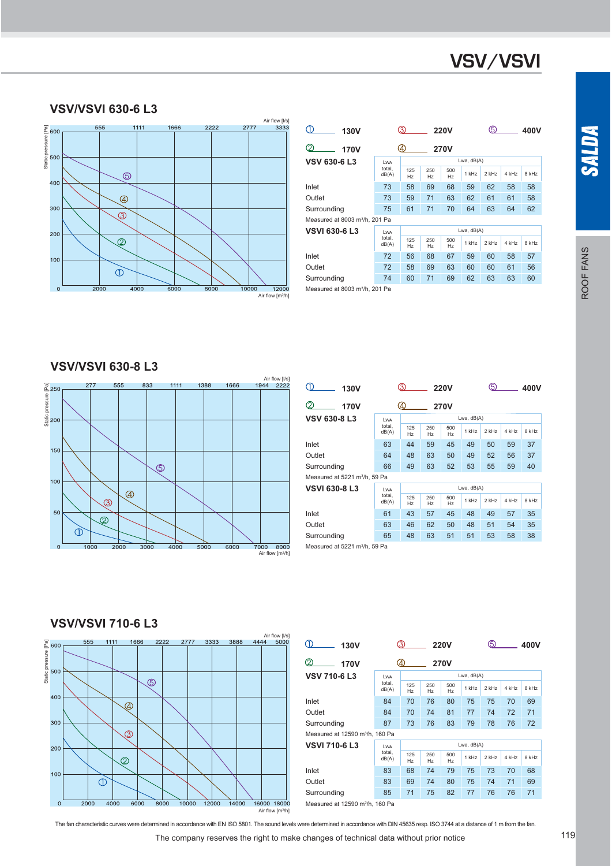#### **VSV/VSVI 630-6 L3**



| 130V                                       |                 | 3)                 |           | <b>220V</b> |         | டு      |       | 400V  |  |  |
|--------------------------------------------|-----------------|--------------------|-----------|-------------|---------|---------|-------|-------|--|--|
| 2<br>170V                                  |                 | (4)<br><b>270V</b> |           |             |         |         |       |       |  |  |
| VSV 630-6 L3                               | <b>LWA</b>      | Lwa, dB(A)         |           |             |         |         |       |       |  |  |
|                                            | total.<br>dB(A) | 125<br>Hz          | 250<br>Hz | 500<br>Hz   | $1$ kHz | $2$ kHz | 4 kHz | 8 kHz |  |  |
| Inlet                                      | 73              | 58                 | 69        | 68          | 59      | 62      | 58    | 58    |  |  |
| Outlet                                     | 73              | 59                 | 71        | 63          | 62      | 61      | 61    | 58    |  |  |
| Surrounding                                | 75              | 61                 | 71        | 70          | 64      | 63      | 64    | 62    |  |  |
| Measured at 8003 m <sup>3</sup> /h, 201 Pa |                 |                    |           |             |         |         |       |       |  |  |
| VSVI 630-6 L3                              | <b>LWA</b>      | Lwa, dB(A)         |           |             |         |         |       |       |  |  |
|                                            | total.<br>dB(A) | 125<br>Hz          | 250<br>Hz | 500<br>Hz   | $1$ kHz | $2$ kHz | 4 kHz | 8 kHz |  |  |
| Inlet                                      | 72              | 56                 | 68        | 67          | 59      | 60      | 58    | 57    |  |  |
| Outlet                                     | 72              | 58                 | 69        | 63          | 60      | 60      | 61    | 56    |  |  |
| Surrounding                                | 74              | 60                 | 71        | 69          | 62      | 63      | 63    | 60    |  |  |
| Measured at 8003 m <sup>3</sup> /h, 201 Pa |                 |                    |           |             |         |         |       |       |  |  |

#### **VSV/VSVI 630-8 L3**



| ٠Ď<br><b>130V</b>                         |                 | <b>220V</b>           |           |           |         | 3<br>400V  |       |       |
|-------------------------------------------|-----------------|-----------------------|-----------|-----------|---------|------------|-------|-------|
| 2<br>170V                                 |                 | (4)<br><b>270V</b>    |           |           |         |            |       |       |
| VSV 630-8 L3                              | <b>LWA</b>      |                       |           |           |         | Lwa, dB(A) |       |       |
|                                           | total.<br>dB(A) | 125<br>Hz             | 250<br>Hz | 500<br>Hz | $1$ kHz | $2$ kHz    | 4 kHz | 8 kHz |
| Inlet                                     | 63              | 44                    | 59        | 45        | 49      | 50         | 59    | 37    |
| Outlet                                    | 64              | 48                    | 63        | 50        | 49      | 52         | 56    | 37    |
| Surrounding                               | 66              | 49                    | 63        | 52        | 53      | 55         | 59    | 40    |
| Measured at 5221 m <sup>3</sup> /h, 59 Pa |                 |                       |           |           |         |            |       |       |
| VSVI 630-8 L3                             | <b>LWA</b>      | Lwa, dB(A)            |           |           |         |            |       |       |
|                                           | total.<br>dB(A) | 125<br>H <sub>z</sub> | 250<br>Hz | 500<br>Hz | $1$ kHz | $2$ kHz    | 4 kHz | 8 kHz |
| Inlet                                     | 61              | 43                    | 57        | 45        | 48      | 49         | 57    | 35    |
| Outlet                                    | 63              | 46                    | 62        | 50        | 48      | 51         | 54    | 35    |
| Surrounding                               | 65              | 48                    | 63        | 51        | 51      | 53         | 58    | 38    |
| Measured at 5221 m <sup>3</sup> /h, 59 Pa |                 |                       |           |           |         |            |       |       |

#### **VSV/VSVI 710-6 L3**



| Պ<br>130V                                   |                 | ൫                |           | <b>220V</b> |         | டு    |       | 400V  |  |  |
|---------------------------------------------|-----------------|------------------|-----------|-------------|---------|-------|-------|-------|--|--|
| ⊘<br>170V                                   |                 | 4<br><b>270V</b> |           |             |         |       |       |       |  |  |
| <b>VSV 710-6 L3</b>                         | <b>LWA</b>      | Lwa, dB(A)       |           |             |         |       |       |       |  |  |
|                                             | total.<br>dB(A) | 125<br>Hz        | 250<br>Hz | 500<br>Hz   | $1$ kHz | 2 kHz | 4 kHz | 8 kHz |  |  |
| Inlet                                       | 84              | 70               | 76        | 80          | 75      | 75    | 70    | 69    |  |  |
| Outlet                                      | 84              | 70               | 74        | 81          | 77      | 74    | 72    | 71    |  |  |
| Surrounding                                 | 87              | 73               | 76        | 83          | 79      | 78    | 76    | 72    |  |  |
| Measured at 12590 m <sup>3</sup> /h. 160 Pa |                 |                  |           |             |         |       |       |       |  |  |
| <b>VSVI 710-6 L3</b>                        | Lwa             | Lwa, dB(A)       |           |             |         |       |       |       |  |  |
|                                             | total.<br>dB(A) | 125<br>Hz        | 250<br>Hz | 500<br>Hz   | $1$ kHz | 2 kHz | 4 kHz | 8 kHz |  |  |
| Inlet                                       | 83              | 68               | 74        | 79          | 75      | 73    | 70    | 68    |  |  |
| Outlet                                      | 83              | 69               | 74        | 80          | 75      | 74    | 71    | 69    |  |  |
| Surrounding                                 | 85              | 71               | 75        | 82          | 77      | 76    | 76    | 71    |  |  |
| Measured at 12590 m <sup>3</sup> /h, 160 Pa |                 |                  |           |             |         |       |       |       |  |  |

Air flow [m3/h]

The fan characteristic curves were determined in accordance with EN ISO 5801. The sound levels were determined in accordance with DIN 45635 resp. ISO 3744 at a distance of 1 m from the fan.

The company reserves the right to make changes of technical data without prior notice 119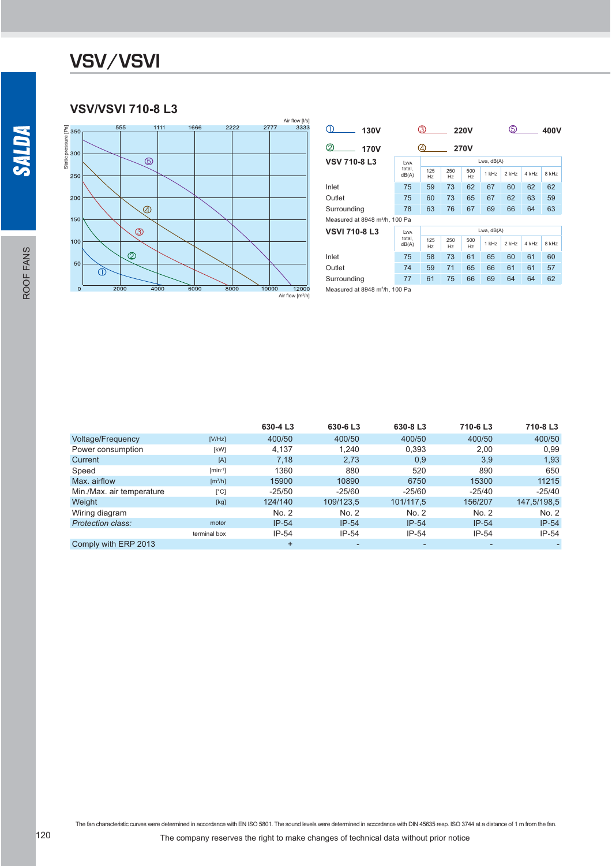#### **VSV/VSVI 710-8 L3**



| 130V                                       |                        | 3)               |            | <b>220V</b> |         | 5       |       | 400V  |  |  |  |  |
|--------------------------------------------|------------------------|------------------|------------|-------------|---------|---------|-------|-------|--|--|--|--|
| $\mathcal{D}$<br>170V                      |                        | 4<br><b>270V</b> |            |             |         |         |       |       |  |  |  |  |
| <b>VSV 710-8 L3</b>                        | LWA<br>total.<br>dB(A) |                  | Lwa, dB(A) |             |         |         |       |       |  |  |  |  |
|                                            |                        | 125<br>Hz        | 250<br>Hz  | 500<br>Hz   | 1 kHz   | 2 kHz   | 4 kHz | 8 kHz |  |  |  |  |
| Inlet                                      | 75                     | 59               | 73         | 62          | 67      | 60      | 62    | 62    |  |  |  |  |
| Outlet                                     | 75                     | 60               | 73         | 65          | 67      | 62      | 63    | 59    |  |  |  |  |
| Surrounding                                | 78                     | 63               | 76         | 67          | 69      | 66      | 64    | 63    |  |  |  |  |
| Measured at 8948 m <sup>3</sup> /h, 100 Pa |                        |                  |            |             |         |         |       |       |  |  |  |  |
| <b>VSVI 710-8 L3</b>                       | LWA                    | Lwa, $dB(A)$     |            |             |         |         |       |       |  |  |  |  |
|                                            | total.<br>dB(A)        | 125<br>Hz        | 250<br>Hz  | 500<br>Hz   | $1$ kHz | $2$ kHz | 4 kHz | 8 kHz |  |  |  |  |
| Inlet                                      | 75                     | 58               | 73         | 61          | 65      | 60      | 61    | 60    |  |  |  |  |
| Outlet                                     | 74                     | 59               | 71         | 65          | 66      | 61      | 61    | 57    |  |  |  |  |
| Surrounding                                | 77                     | 61               | 75         | 66          | 69      | 64      | 64    | 62    |  |  |  |  |
| Measured at 8948 m <sup>3</sup> /h, 100 Pa |                        |                  |            |             |         |         |       |       |  |  |  |  |

 **630-4 L3 630-6 L3 630-8 L3 710-6 L3 710-8 L3** Voltage/Frequency 1988 [V/Hz] 400/50 400/50 400/50 400/50 400/50 400/50 400/50 Power consumption  $x = \begin{cases} kW & 4,137 & 1,240 \\ 4 & 7,18 & 2,73 \end{cases}$  0,393 2,00 0,99<br>Current 5 2,73 0,9 3,9 1,93 Current [A] 7,18 2,73 0,9 3,9 1,93 Speed [min-1] 1360 880 520 890 650 Max. airflow  $[m^3/h]$ <br>Min /Max. air temperature  $[°C]$ /h] 15900 10890 6750 15300 11215 Min./Max. air temperature 
<sup>[°C]</sup> -25/50 -25/60 -25/60 -25/40 -25/40<br>
Weight 
Weight
 109/123.5 101/117.5 156/207 147.5/198.5 Weight [kg] 124/140 109/123,5 101/117,5 156/207 147,5/198,5 Wiring diagram 
No. 2 No. 2 No. 2 No. 2 No. 2 No. 2 No. 2 No. 2 No. 2 No. 2 No. 2 No. 2 No. 2 No. 2 No. 2 No. 2 **Protection class:** terminal box IP-54 IP-54 IP-54 IP-54 IP-54 Comply with ERP 2013 + - - - -

The fan characteristic curves were determined in accordance with EN ISO 5801. The sound levels were determined in accordance with DIN 45635 resp. ISO 3744 at a distance of 1 m from the fan.